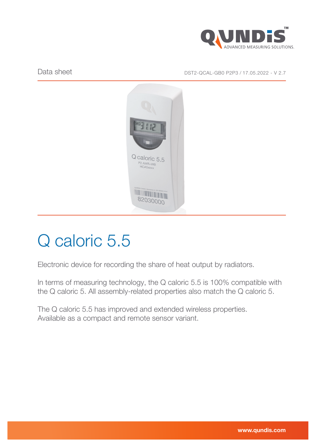

Data sheet Data sheet DST2-QCAL-GB0 P2P3 / 17.05.2022 - V 2.7



# Q caloric 5.5

Electronic device for recording the share of heat output by radiators.

In terms of measuring technology, the Q caloric 5.5 is 100% compatible with the Q caloric 5. All assembly-related properties also match the Q caloric 5.

The Q caloric 5.5 has improved and extended wireless properties. Available as a compact and remote sensor variant.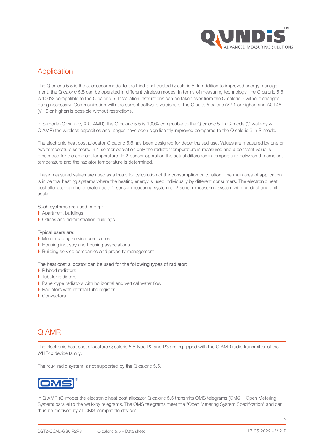

# Application

The Q caloric 5.5 is the successor model to the tried-and-trusted Q caloric 5. In addition to improved energy management, the Q caloric 5.5 can be operated in different wireless modes. In terms of measuring technology, the Q caloric 5.5 is 100% compatible to the Q caloric 5. Installation instructions can be taken over from the Q caloric 5 without changes being necessary. Communication with the current software versions of the Q suite 5 caloric (V2.1 or higher) and ACT46 (V1.6 or higher) is possible without restrictions.

In S-mode (Q walk-by & Q AMR), the Q caloric 5.5 is 100% compatible to the Q caloric 5. In C-mode (Q walk-by & Q AMR) the wireless capacities and ranges have been significantly improved compared to the Q caloric 5 in S-mode.

The electronic heat cost allocator Q caloric 5.5 has been designed for decentralised use. Values are measured by one or two temperature sensors. In 1-sensor operation only the radiator temperature is measured and a constant value is prescribed for the ambient temperature. In 2-sensor operation the actual difference in temperature between the ambient temperature and the radiator temperature is determined.

These measured values are used as a basic for calculation of the consumption calculation. The main area of application is in central heating systems where the heating energy is used individually by different consumers. The electronic heat cost allocator can be operated as a 1-sensor measuring system or 2-sensor measuring system with product and unit scale.

#### Such systems are used in e.g.:

- **Apartment buildings**
- **I** Offices and administration buildings

#### Typical users are:

- **I** Meter reading service companies
- **I** Housing industry and housing associations
- ▶ Building service companies and property management

#### The heat cost allocator can be used for the following types of radiator:

- ❱ Ribbed radiators
- **I** Tubular radiators
- Panel-type radiators with horizontal and vertical water flow
- ❱ Radiators with internal tube register
- ❱ Convectors

## Q AMR

The electronic heat cost allocators Q caloric 5.5 type P2 and P3 are equipped with the Q AMR radio transmitter of the WHE4x device family.

The rcu4 radio system is not supported by the Q caloric 5.5.



In Q AMR (C-mode) the electronic heat cost allocator Q caloric 5.5 transmits OMS telegrams (OMS = Open Metering System) parallel to the walk-by telegrams. The OMS telegrams meet the "Open Metering System Specification" and can thus be received by all OMS-compatible devices.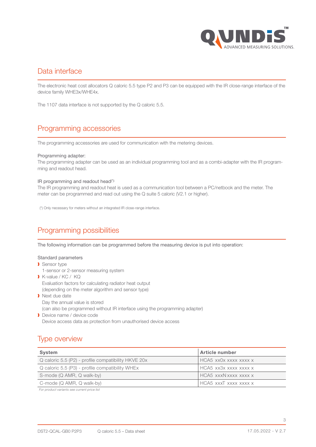

## Data interface

The electronic heat cost allocators Q caloric 5.5 type P2 and P3 can be equipped with the IR close-range interface of the device family WHE3x/WHE4x.

The 1107 data interface is not supported by the Q caloric 5.5.

# Programming accessories

The programming accessories are used for communication with the metering devices.

#### Programming adapter:

The programming adapter can be used as an individual programming tool and as a combi-adapter with the IR programming and readout head.

#### IR programming and readout head(\*):

The IR programming and readout heat is used as a communication tool between a PC/netbook and the meter. The meter can be programmed and read out using the Q suite 5 caloric (V2.1 or higher).

(\*) Only necessary for meters without an integrated IR close-range interface.

# Programming possibilities

The following information can be programmed before the measuring device is put into operation:

## Standard parameters

- **Sensor type** 
	- 1-sensor or 2-sensor measuring system
- ❱ K-value / KC / KQ Evaluation factors for calculating radiator heat output (depending on the meter algorithm and sensor type) **I** Next due date
- Day the annual value is stored (can also be programmed without IR interface using the programming adapter)
- **Device name / device code** Device access data as protection from unauthorised device access

# Type overview

| <b>System</b>                                       | <b>Article number</b> |
|-----------------------------------------------------|-----------------------|
| Q caloric 5.5 (P2) - profile compatibility HKVE 20x | HCA5 xx0x xxxx xxxx x |
| Q caloric 5.5 (P3) - profile compatibility WHEx     | HCA5 xx3x xxxx xxxx x |
| S-mode (Q AMR, Q walk-by)                           | HCA5 xxxN xxxx xxxx x |
| C-mode (Q AMR, Q walk-by)                           | HCA5 xxxT xxxx xxxx x |

For product variants see current price list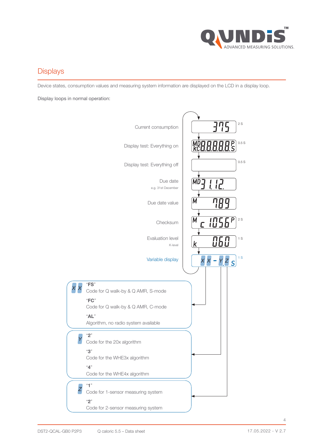

# **Displays**

Device states, consumption values and measuring system information are displayed on the LCD in a display loop.

Display loops in normal operation:

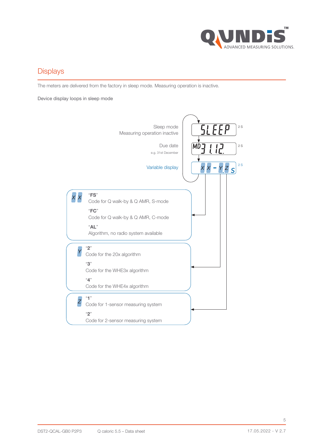

# **Displays**

The meters are delivered from the factory in sleep mode. Measuring operation is inactive.

Device display loops in sleep mode

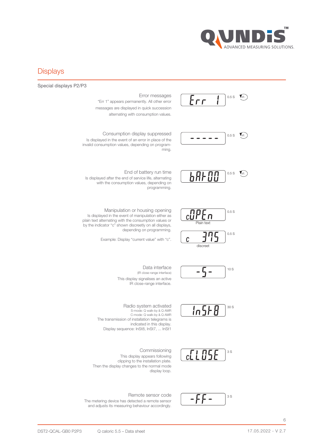

## **Displays**

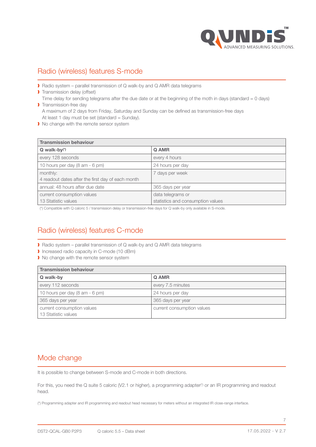

# Radio (wireless) features S-mode

■ Radio system – parallel transmission of Q walk-by and Q AMR data telegrams

**Transmission delay (offset)** Time delay for sending telegrams after the due date or at the beginning of the moth in days (standard = 0 days) **I** Transmission-free day

A maximum of 2 days from Friday, Saturday and Sunday can be defined as transmission-free days At least 1 day must be set (standard = Sunday).

 $\blacktriangleright$  No change with the remote sensor system

| <b>Transmission behaviour</b>                     |                                   |
|---------------------------------------------------|-----------------------------------|
| $Q$ walk-by $(*)$                                 | Q AMR                             |
| every 128 seconds                                 | every 4 hours                     |
| 10 hours per day (8 am - 6 pm)                    | 24 hours per day                  |
| monthly:                                          | 7 days per week                   |
| 4 readout dates after the first day of each month |                                   |
| annual: 48 hours after due date                   | 365 days per year                 |
| current consumption values                        | data telegrams or                 |
| 13 Statistic values                               | statistics and consumption values |

(\*) Compatible with Q caloric 5 / transmission delay or transmission-free days for Q walk-by only available in S-mode.

# Radio (wireless) features C-mode

- Radio system parallel transmission of Q walk-by and Q AMR data telegrams
- ❱ Increased radio capacity in C-mode (10 dBm)
- I No change with the remote sensor system

| <b>Transmission behaviour</b>                     |                            |
|---------------------------------------------------|----------------------------|
| Q walk-by                                         | Q AMR                      |
| every 112 seconds                                 | every 7.5 minutes          |
| 10 hours per day (8 am - 6 pm)                    | 24 hours per day           |
| 365 days per year                                 | 365 days per year          |
| current consumption values<br>13 Statistic values | current consumption values |

## Mode change

It is possible to change between S-mode and C-mode in both directions.

For this, you need the Q suite 5 caloric (V2.1 or higher), a programming adapter(\*) or an IR programming and readout head.

(\*) Programming adapter and IR programming and readout head necessary for meters without an integrated IR close-range interface.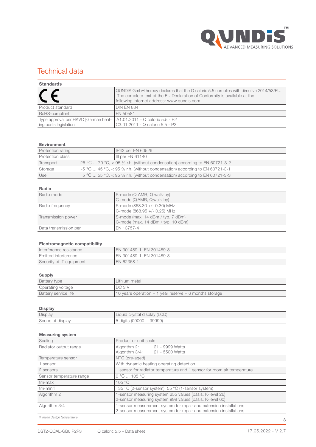

## Technical data

| <b>Standards</b>                                                                                 |                                                                                                                                                                                                                   |
|--------------------------------------------------------------------------------------------------|-------------------------------------------------------------------------------------------------------------------------------------------------------------------------------------------------------------------|
|                                                                                                  | QUNDIS GmbH hereby declares that the Q caloric 5.5 complies with directive 2014/53/EU.<br>The complete text of the EU Declaration of Conformity is available at the<br>following internet address: www.gundis.com |
| Product standard                                                                                 | <b>DIN EN 834</b>                                                                                                                                                                                                 |
| RoHS-compliant                                                                                   | EN 50581                                                                                                                                                                                                          |
| Type approval per HKVO [German heat-   A1.01.2011 - Q caloric 5.5 - P2<br>ing costs legislation] | C3.01.2011 - Q caloric 5.5 - P3                                                                                                                                                                                   |

#### Environment

| Protection rating | IP43 per EN 60529                                                                      |
|-------------------|----------------------------------------------------------------------------------------|
| Protection class  | III per EN 61140                                                                       |
| Transport         | -25 °C  70 °C, < 95 % r.h. (without condensation) according to EN 60721-3-2            |
| Storage           | $-5$ °C $\ldots$ 45 °C, $<$ 95 % r.h. (without condensation) according to EN 60721-3-1 |
| Use               | 5 °C  55 °C, < 95 % r.h. (without condensation) according to EN 60721-3-3              |

## Radio

| Radio mode            | S-mode (Q AMR, Q walk-by)<br>C-mode (QAMR, Qwalk-by)                    |
|-----------------------|-------------------------------------------------------------------------|
| Radio frequency       | S-mode (868.30 +/- 0.30) MHz<br>C-mode (868.95 +/- 0.25) MHz            |
| Transmission power    | S-mode (max. 14 dBm / typ. 7 dBm)<br>C-mode (max. 14 dBm / typ. 10 dBm) |
| Data transmission per | EN 13757-4                                                              |

## Electromagnetic compatibility

| .<br>.                   |                          |
|--------------------------|--------------------------|
| Interference resistance  | EN 301489-1, EN 301489-3 |
| Emitted interference     | EN 301489-1, EN 301489-3 |
| Security of IT equipment | EN 62368-1               |

### Supply

| Battery type         | Lithium metal                                            |
|----------------------|----------------------------------------------------------|
| Operating voltage    | DC 3 V                                                   |
| Battery service life | 10 years operation $+1$ year reserve $+6$ months storage |

## Display

| Display          | Liquid crystal display (LCD) |
|------------------|------------------------------|
| Scope of display | 99999)<br>.5 digits (00000 - |

#### Measuring system

| Scaling                  | Product or unit scale                                                   |
|--------------------------|-------------------------------------------------------------------------|
| Radiator output range    | Algorithm 2: 21 - 9999 Watts                                            |
|                          | Algorithm 3/4:<br>21 - 5500 Watts                                       |
| Temperature sensor       | NTC (pre-aged)                                                          |
| 1 sensor                 | With dynamic heating operating detection                                |
| 2 sensors                | 1 sensor for radiator temperature and 1 sensor for room air temperature |
| Sensor temperature range | $0 °C$ 105 °C                                                           |
| tm-max                   | 105 °C                                                                  |
| $tm-min(*)$              | 35 °C (2-sensor system), 55 °C (1-sensor system)                        |
| Algorithm 2              | 1-sensor measuring system 255 values (basis: K-level 26)                |
|                          | 2-sensor measuring system 999 values (basis: K-level 60)                |
| Algorithm 3/4            | 1-sensor measurement system for repair and extension installations      |
|                          | 2-sensor measurement system for repair and extension installations      |

(\*) mean design temperature

8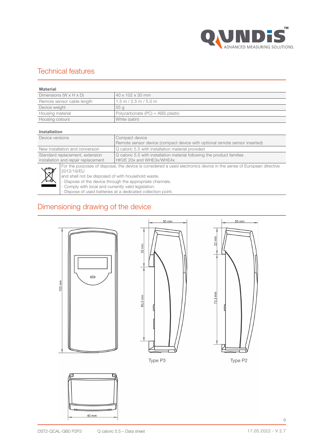

## Technical features

| Material                             |                                  |
|--------------------------------------|----------------------------------|
| Dimensions (W $\times$ H $\times$ D) | 140 x 102 x 30 mm                |
| Remote sensor cable length           | $1.5$ m / 2.5 m / 5.0 m          |
| Device weight                        | 55 g                             |
| Housing material                     | Polycarbonate (PC) + ABS plastic |
| Housing colours                      | White (satin)                    |

## Installation

| Device versions                     | Compact device                                                                                                      |
|-------------------------------------|---------------------------------------------------------------------------------------------------------------------|
|                                     | Remote sensor device (compact device with optional remote sensor inserted)                                          |
| New installation and conversion     | Q caloric 5.5 with installation material provided                                                                   |
| Standard replacement, extension     | Q caloric 5.5 with installation material following the product families                                             |
| installation and repair replacement | HKVE 20x and WHE3x/WHE4x                                                                                            |
|                                     | For the purposes of disposal, the device is considered a used electronics device in the sense of European directive |



2012/19/EU and shall not be disposed of with household waste. - Dispose of the device through the appropriate channels. - Comply with local and currently valid legislation.

- Dispose of used batteries at a dedicated collection point.

## Dimensioning drawing of the device









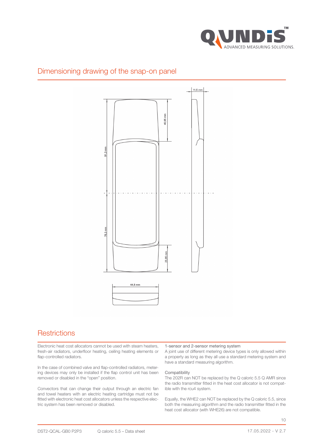

# Dimensioning drawing of the snap-on panel



## **Restrictions**

Electronic heat cost allocators cannot be used with steam heaters, fresh-air radiators, underfloor heating, ceiling heating elements or flap-controlled radiators.

In the case of combined valve and flap-controlled radiators, metering devices may only be installed if the flap control unit has been removed or disabled in the "open" position.

Convectors that can change their output through an electric fan and towel heaters with an electric heating cartridge must not be fitted with electronic heat cost allocators unless the respective electric system has been removed or disabled.

#### 1-sensor and 2-sensor metering system

A joint use of different metering device types is only allowed within a property as long as they all use a standard metering system and have a standard measuring algorithm.

## Compatibility

The 202R can NOT be replaced by the Q caloric 5.5 Q AMR since the radio transmitter fitted in the heat cost allocator is not compatible with the rcu4 system.

Equally, the WHE2 can NOT be replaced by the Q caloric 5.5, since both the measuring algorithm and the radio transmitter fitted in the heat cost allocator (with WHE26) are not compatible.